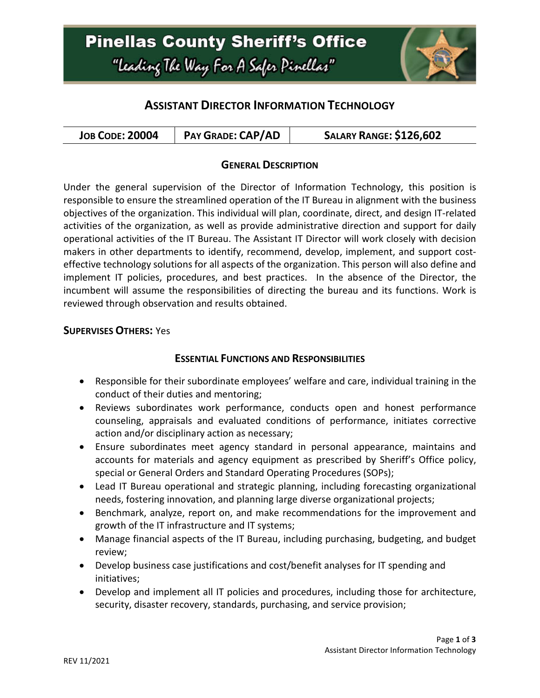# **Pinellas County Sheriff's Office** "Leading The Way For A Safer Pinellar"



## **ASSISTANT DIRECTOR INFORMATION TECHNOLOGY**

|--|

#### **GENERAL DESCRIPTION**

Under the general supervision of the Director of Information Technology, this position is responsible to ensure the streamlined operation of the IT Bureau in alignment with the business objectives of the organization. This individual will plan, coordinate, direct, and design IT-related activities of the organization, as well as provide administrative direction and support for daily operational activities of the IT Bureau. The Assistant IT Director will work closely with decision makers in other departments to identify, recommend, develop, implement, and support costeffective technology solutions for all aspects of the organization. This person will also define and implement IT policies, procedures, and best practices. In the absence of the Director, the incumbent will assume the responsibilities of directing the bureau and its functions. Work is reviewed through observation and results obtained.

#### **SUPERVISES OTHERS:** Yes

#### **ESSENTIAL FUNCTIONS AND RESPONSIBILITIES**

- Responsible for their subordinate employees' welfare and care, individual training in the conduct of their duties and mentoring;
- Reviews subordinates work performance, conducts open and honest performance counseling, appraisals and evaluated conditions of performance, initiates corrective action and/or disciplinary action as necessary;
- Ensure subordinates meet agency standard in personal appearance, maintains and accounts for materials and agency equipment as prescribed by Sheriff's Office policy, special or General Orders and Standard Operating Procedures (SOPs);
- Lead IT Bureau operational and strategic planning, including forecasting organizational needs, fostering innovation, and planning large diverse organizational projects;
- Benchmark, analyze, report on, and make recommendations for the improvement and growth of the IT infrastructure and IT systems;
- Manage financial aspects of the IT Bureau, including purchasing, budgeting, and budget review;
- Develop business case justifications and cost/benefit analyses for IT spending and initiatives;
- Develop and implement all IT policies and procedures, including those for architecture, security, disaster recovery, standards, purchasing, and service provision;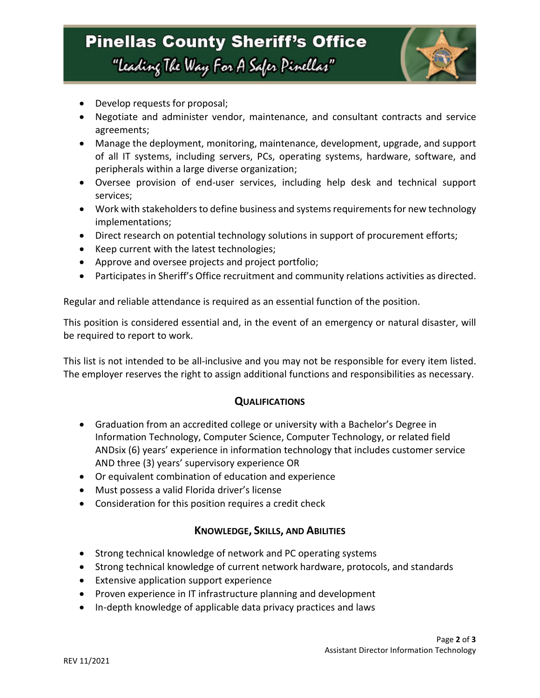

- Develop requests for proposal;
- Negotiate and administer vendor, maintenance, and consultant contracts and service agreements;
- Manage the deployment, monitoring, maintenance, development, upgrade, and support of all IT systems, including servers, PCs, operating systems, hardware, software, and peripherals within a large diverse organization;
- Oversee provision of end-user services, including help desk and technical support services;
- Work with stakeholders to define business and systems requirements for new technology implementations;
- Direct research on potential technology solutions in support of procurement efforts;
- Keep current with the latest technologies;
- Approve and oversee projects and project portfolio;
- Participates in Sheriff's Office recruitment and community relations activities as directed.

Regular and reliable attendance is required as an essential function of the position.

This position is considered essential and, in the event of an emergency or natural disaster, will be required to report to work.

This list is not intended to be all-inclusive and you may not be responsible for every item listed. The employer reserves the right to assign additional functions and responsibilities as necessary.

#### **QUALIFICATIONS**

- Graduation from an accredited college or university with a Bachelor's Degree in Information Technology, Computer Science, Computer Technology, or related field ANDsix (6) years' experience in information technology that includes customer service AND three (3) years' supervisory experience OR
- Or equivalent combination of education and experience
- Must possess a valid Florida driver's license
- Consideration for this position requires a credit check

### **KNOWLEDGE, SKILLS, AND ABILITIES**

- Strong technical knowledge of network and PC operating systems
- Strong technical knowledge of current network hardware, protocols, and standards
- Extensive application support experience
- Proven experience in IT infrastructure planning and development
- In-depth knowledge of applicable data privacy practices and laws